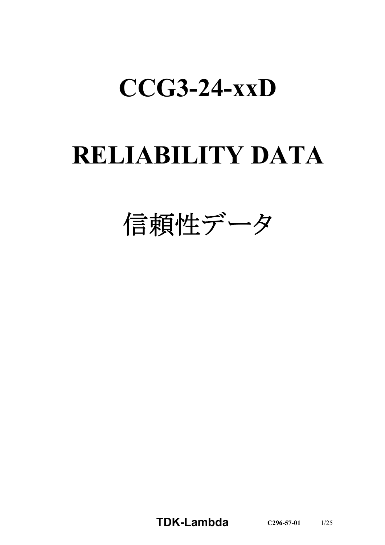# **CCG3-24-xxD**

# **RELIABILITY DATA**

信頼性データ

**TDK-Lambda C296-57-01** 1/25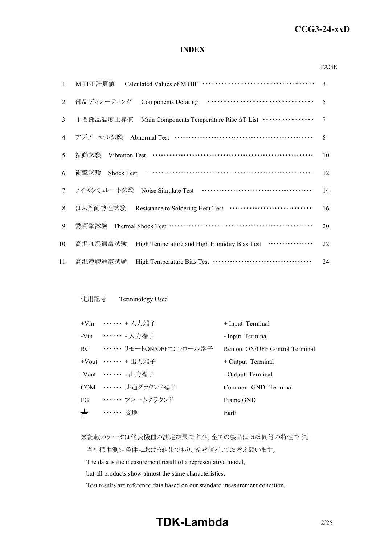# *RWS 50B-600B Series* **CCG3-24-xxD**

#### **INDEX**

#### PAGE

| $1_{\cdot}$ |                                                                                | 3              |
|-------------|--------------------------------------------------------------------------------|----------------|
| 2.          | 部品ディレーティング                                                                     | $\overline{5}$ |
| 3.          | Main Components Temperature Rise AT List ················<br>主要部品温度上昇值         | $\tau$         |
| 4.          | アブノーマル試験 Abnormal Test ……………………………………………                                       | 8              |
| 5.          | 振動試験                                                                           | 10             |
| 6.          | 衝撃試験<br><b>Shock Test</b>                                                      | 12             |
|             | 7. ノイズシミュレート試験                                                                 | 14             |
| 8.          | はんだ耐熱性試験 Resistance to Soldering Heat Test ·······························     | 16             |
| 9.          | 熱衝擊試験 Thermal Shock Test …………………………………………………                                   | 20             |
| 10.         | High Temperature and High Humidity Bias Test <b>··············</b><br>高温加湿通電試験 | 22             |
| 11.         | 高温連続通電試験                                                                       | 24             |

#### 使用記号 Terminology Used

|       | +Vin ••••••• + 入力端子          | + Input Terminal               |
|-------|------------------------------|--------------------------------|
|       | -Vin ••••••• 入力端子            | - Input Terminal               |
|       | RC ······ リモートON/OFFコントロール端子 | Remote ON/OFF Control Terminal |
|       | +Vout $\cdots \cdots$ + 出力端子 | $+$ Output Terminal            |
|       | -Vout $\cdots \cdots$ - 出力端子 | - Output Terminal              |
|       | COM …… 共通グラウンド端子             | Common GND Terminal            |
| FG    | ・・・・・・・ フレームグラウンド            | Frame GND                      |
| $\pm$ | •••••• 接地                    | Earth                          |

※記載のデータは代表機種の測定結果ですが、全ての製品はほぼ同等の特性です。

当社標準測定条件における結果であり、参考値としてお考え願います。

The data is the measurement result of a representative model,

but all products show almost the same characteristics.

Test results are reference data based on our standard measurement condition.

# **TDK-Lambda**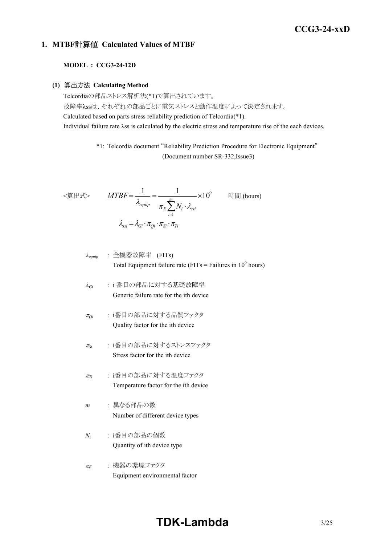# *RWS 50B-600B Series* **CCG3-24-xxD**

## **1. MTBF**計算値 **Calculated Values of MTBF**

#### **MODEL : CCG3-24-12D**

#### **(1)** 算出方法 **Calculating Method**

Telcordiaの部品ストレス解析法(\*1)で算出されています。 故障率λssは、それぞれの部品ごとに電気ストレスと動作温度によって決定されます。 Calculated based on parts stress reliability prediction of Telcordia(\*1). Individual failure rate λss is calculated by the electric stress and temperature rise of the each devices.

> \*1: Telcordia document "Reliability Prediction Procedure for Electronic Equipment" (Document number SR-332,Issue3)

$$
\langle \hat{\mathbf{g}} | \mathbf{H} \mathbf{x} \rangle \qquad MTBF = \frac{1}{\lambda_{equip}} = \frac{1}{\pi_E \sum_{i=1}^{m} N_i \cdot \lambda_{ssi}} \times 10^9 \qquad \text{iff } (\text{hours})
$$
\n
$$
\lambda_{ssi} = \lambda_{Gi} \cdot \pi_{Qi} \cdot \pi_{Si} \cdot \pi_{Ti}
$$

<sup>l</sup>*equip* : 全機器故障率 (FITs) Total Equipment failure rate (FITs = Failures in 10<sup>9</sup> hours)

$$
λ_{Gi}
$$
 : i 番目の部品に対する基礎**被**`]e  
\nGeneric failure rate for the ith device`

- <sup>p</sup>*Qi* : i番目の部品に対する品質ファクタ Quality factor for the ith device
- <sup>p</sup>*Si* : i番目の部品に対するストレスファクタ Stress factor for the ith device
- <sup>p</sup>*Ti* : i番目の部品に対する温度ファクタ Temperature factor for the ith device
- *m* : 異なる部品の数 Number of different device types
- *Ni* : i番目の部品の個数 Quantity of ith device type
- <sup>p</sup>*<sup>E</sup>* : 機器の環境ファクタ Equipment environmental factor

# **TDK-Lambda**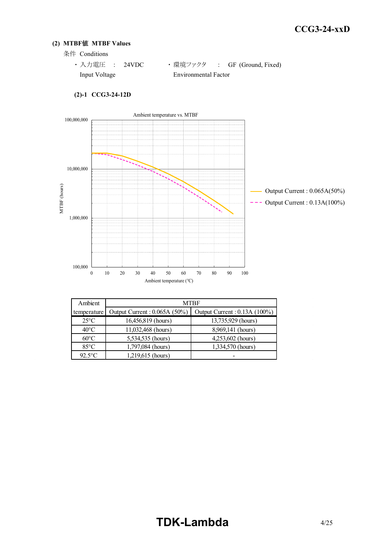#### **(2) MTBF**値 **MTBF Values**

条件 Conditions

| ・ 入力雷圧  : 24VDC |                      | ・ 環境ファクタ   :  GF (Ground, Fixed) |
|-----------------|----------------------|----------------------------------|
| Input Voltage   | Environmental Factor |                                  |



#### **(2)-1 CCG3-24-12D**

| Ambient        | <b>MTBF</b>                  |                               |  |  |  |  |  |  |
|----------------|------------------------------|-------------------------------|--|--|--|--|--|--|
| temperature    | Output Current: 0.065A (50%) | Output Current : 0.13A (100%) |  |  |  |  |  |  |
| $25^{\circ}$ C | 16,456,819 (hours)           | 13,735,929 (hours)            |  |  |  |  |  |  |
| $40^{\circ}$ C | 11,032,468 (hours)           | 8,969,141 (hours)             |  |  |  |  |  |  |
| $60^{\circ}$ C | 5,534,535 (hours)            | 4,253,602 (hours)             |  |  |  |  |  |  |
| $85^{\circ}$ C | 1,797,084 (hours)            | 1,334,570 (hours)             |  |  |  |  |  |  |
| $92.5$ °C      | 1,219,615 (hours)            |                               |  |  |  |  |  |  |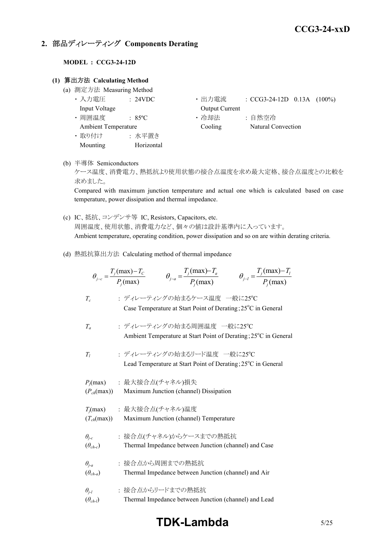# **2.** 部品ディレーティング **Components Derating**

#### **MODEL : CCG3-24-12D**

#### **(1)** 算出方法 **Calculating Method**

- (a) 測定方法 Measuring Method
	-
	-
	-
	- ・ 取り付け : 水平置き Mounting Horizontal
	- 入力電圧 : 24VDC • 出力電流 : CCG3-24-12D 0.13A (100%) Input Voltage **Output Current**
	- 周囲温度 : 85°C · 哈却法 : 自然空冷 Ambient Temperature Cooling Natural Convection
- (b) 半導体 Semiconductors

ケース温度、消費電力、熱抵抗より使用状態の接合点温度を求め最大定格、接合点温度との比較を 求めました。

Compared with maximum junction temperature and actual one which is calculated based on case temperature, power dissipation and thermal impedance.

- (c) IC、抵抗、コンデンサ等 IC, Resistors, Capacitors, etc. 周囲温度、使用状態、消費電力など、個々の値は設計基準内に入っています。 Ambient temperature, operating condition, power dissipation and so on are within derating criteria.
- (d) 熱抵抗算出方法 Calculating method of thermal impedance

|                                     | $\theta_{j-l} = \frac{T_j(\text{max}) - T_l}{P_j(\text{max})}$<br>$\theta_{j-c} = \frac{T_j(\text{max}) - T_c}{P_i(\text{max})}$<br>$\theta_{j-a} = \frac{T_j(\text{max}) - T_a}{P_j(\text{max})}$ |
|-------------------------------------|----------------------------------------------------------------------------------------------------------------------------------------------------------------------------------------------------|
| $T_c$                               | : ディレーティングの始まるケース温度 一般に25℃<br>Case Temperature at Start Point of Derating; 25°C in General                                                                                                         |
| $T_a$                               | : ディレーティングの始まる周囲温度 一般に25℃<br>Ambient Temperature at Start Point of Derating; 25°C in General                                                                                                       |
| T <sub>i</sub>                      | : ディレーティングの始まるリード温度 一般に25°C<br>Lead Temperature at Start Point of Derating; 25 <sup>°</sup> C in General                                                                                           |
| $(P_{ch}(\text{max}))$              | $P_i$ (max) : 最大接合点(チャネル)損失<br>Maximum Junction (channel) Dissipation                                                                                                                              |
| $(T_{ch}(\text{max}))$              | $T_j$ (max) : 最大接合点(チャネル)温度<br>Maximum Junction (channel) Temperature                                                                                                                              |
| $\theta_{j-c}$<br>$(\theta_{ch-c})$ | : 接合点(チャネル)からケースまでの熱抵抗<br>Thermal Impedance between Junction (channel) and Case                                                                                                                    |
| $\theta_{i-a}$<br>$(\theta_{ch-a})$ | : 接合点から周囲までの熱抵抗<br>Thermal Impedance between Junction (channel) and Air                                                                                                                            |
| $\theta_{i-l}$<br>$(\theta_{ch-l})$ | : 接合点からリードまでの熱抵抗<br>Thermal Impedance between Junction (channel) and Lead                                                                                                                          |

# **TDK-Lambda** 5/25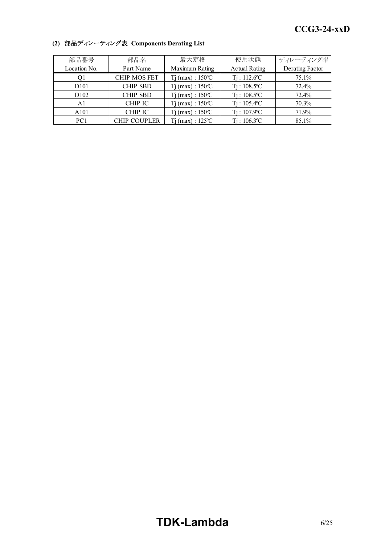| 部品番号             | 部品名                 | 最大定格                         | 使用状態                       | ディレーティング率       |
|------------------|---------------------|------------------------------|----------------------------|-----------------|
| Location No.     | Part Name           | Maximum Rating               | <b>Actual Rating</b>       | Derating Factor |
| O1               | <b>CHIP MOS FET</b> | $Tj$ (max) : 150 °C          | $Ti: 112.6$ <sup>o</sup> C | 75.1%           |
| D <sub>101</sub> | <b>CHIP SBD</b>     | $Tj$ (max) : 150 °C          | $Ti: 108.5$ <sup>o</sup> C | 72.4%           |
| D <sub>102</sub> | <b>CHIP SBD</b>     | $Ti$ (max) : $150^{\circ}$ C | $Ti: 108.5^{\circ}C$       | 72.4%           |
| A1               | CHIP IC             | $Ti$ (max) : $150^{\circ}$ C | $Ti: 105.4$ <sup>o</sup> C | 70.3%           |
| A101             | <b>CHIP IC</b>      | $Tj(max): 150^{\circ}C$      | $Ti: 107.9^{\circ}C$       | 71.9%           |
| PC <sub>1</sub>  | <b>CHIP COUPLER</b> | $Tj(max): 125^{\circ}C$      | $Ti: 106.3$ <sup>o</sup> C | 85.1%           |

# **(2)** 部品ディレーティング表 **Components Derating List**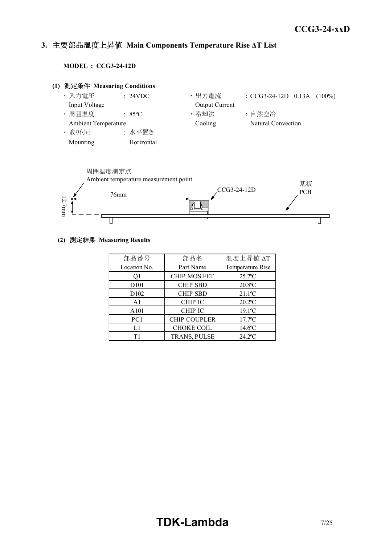#### *INSTRUCTION MANUAL* **3.** 主要部品温度上昇値 **Main Components Temperature Rise ΔT List**

**MODEL : CCG3-24-12D**





#### **(2)** 測定結果 **Measuring Results**

| 部品番号              | 部品名                 | 温度上昇值 ΔT              |
|-------------------|---------------------|-----------------------|
| Location No.      | Part Name           | Temperature Rise      |
| Q1                | <b>CHIP MOS FET</b> | $25.7$ <sup>o</sup> C |
| D <sub>10</sub> 1 | <b>CHIP SBD</b>     | $20.8$ °C             |
| D <sub>102</sub>  | <b>CHIP SBD</b>     | $21.1$ <sup>o</sup> C |
| A <sub>1</sub>    | CHIP IC             | $20.2$ <sup>o</sup> C |
| A <sub>101</sub>  | <b>CHIP IC</b>      | $19.1$ °C             |
| PC1               | <b>CHIP COUPLER</b> | $17.7$ <sup>o</sup> C |
| L1                | <b>CHOKE COIL</b>   | $14.6$ °C             |
| Τ1                | <b>TRANS, PULSE</b> | $24.2$ <sup>o</sup> C |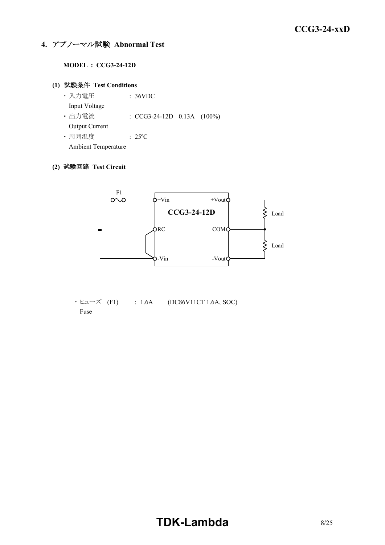# **4.** アブノーマル試験 **Abnormal Test**

#### **MODEL : CCG3-24-12D**

#### **(1)** 試験条件 **Test Conditions**

- ・ 入力電圧 : 36VDC Input Voltage ・ 出力電流 : CCG3-24-12D 0.13A (100%) Output Current
- ・ 周囲温度 : 25ºC

Ambient Temperature

## **(2)** 試験回路 **Test Circuit**



 $\cdot$  ヒューズ (F1) : 1.6A (DC86V11CT 1.6A, SOC) Fuse

# **TDK-Lambda**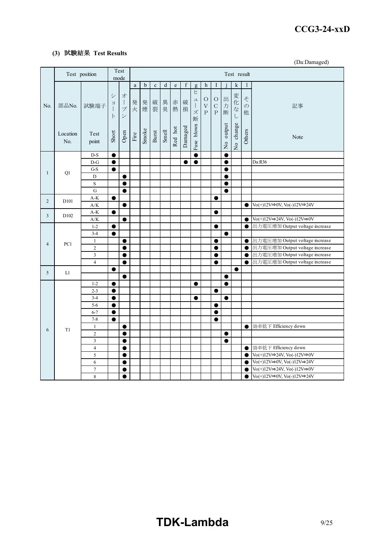#### *RWS 50B-600B Series* **CCG3-24-xxD**

#### **(3)** 試験結果 **Test Results**

(Da:Damaged)

|                | Test position    |                                  |                 | Test<br>mode                                                   | Test result           |             |             |         |             |                  |                                                          |                           |                                             |                        |                           |                               |                                                                                             |  |
|----------------|------------------|----------------------------------|-----------------|----------------------------------------------------------------|-----------------------|-------------|-------------|---------|-------------|------------------|----------------------------------------------------------|---------------------------|---------------------------------------------|------------------------|---------------------------|-------------------------------|---------------------------------------------------------------------------------------------|--|
|                |                  |                                  |                 |                                                                | $\mathbf{a}$          | $\mathbf b$ | $\mathbf c$ | $\rm d$ | $\mathbf e$ | $\boldsymbol{f}$ | $\mathbf{g}$                                             | h                         | I                                           |                        | k                         |                               |                                                                                             |  |
| No.            | 部品No.            | 試験端子                             | シ<br>$\Xi$<br>F | 才<br>$\mathbf{I}$<br>$\mathcal{I}$<br>$\overline{\phantom{a}}$ | 発<br>火                | 発<br>煙      | 破<br>裂      | 異<br>臭  | 赤<br>熱      | 破<br>損           | ヒ<br>$\overline{\phantom{a}}$<br>$\mathcal{I}$<br>ズ<br>断 | $\circ$<br>$\bar{V}$<br>P | $\circ$<br>$\overline{C}$<br>$\overline{P}$ | 出<br>力<br>断            | 変化<br>$\dot{z}$<br>$\cup$ | $\zeta$<br>$\mathcal{O}$<br>他 | 記事                                                                                          |  |
|                | Location<br>No.  | Test<br>point                    | Short           | Open                                                           | $\operatorname{Fire}$ | Smoke       | Burst       | Smell   | Red hot     | Damaged          | blown<br>Fuse                                            |                           |                                             | No output              | No change                 | Others                        | Note                                                                                        |  |
|                |                  | $D-S$                            | $\bullet$       |                                                                |                       |             |             |         |             |                  | $\bullet$                                                |                           |                                             | $\bullet$              |                           |                               |                                                                                             |  |
|                |                  | $D-G$                            | $\bullet$       |                                                                |                       |             |             |         |             | $\bullet$        | $\bullet$                                                |                           |                                             | $\bullet$              |                           |                               | Da:R36                                                                                      |  |
| $\mathbf{1}$   | Q1               | G-S                              | $\bullet$       |                                                                |                       |             |             |         |             |                  |                                                          |                           |                                             | 0                      |                           |                               |                                                                                             |  |
|                |                  | D                                |                 | $\bullet$                                                      |                       |             |             |         |             |                  |                                                          |                           |                                             | $\bullet$              |                           |                               |                                                                                             |  |
|                |                  | S                                |                 | $\bullet$                                                      |                       |             |             |         |             |                  |                                                          |                           |                                             | $\bullet$              |                           |                               |                                                                                             |  |
|                |                  | ${\bf G}$                        |                 | $\bullet$                                                      |                       |             |             |         |             |                  |                                                          |                           |                                             | $\bullet$              |                           |                               |                                                                                             |  |
| $\overline{2}$ | D <sub>101</sub> | $\mathrm{A}\text{-}\mathrm{K}$   | ●               |                                                                |                       |             |             |         |             |                  |                                                          |                           | $\bullet$                                   |                        |                           |                               |                                                                                             |  |
|                |                  | A/K                              |                 | $\bullet$                                                      |                       |             |             |         |             |                  |                                                          |                           |                                             |                        |                           | $\bullet$                     | $\text{Vo}(+)12\text{V}\Rightarrow$ 0V, $\text{Vo}(-)12\text{V}\Rightarrow$ 24V             |  |
| 3              | D <sub>102</sub> | $A-K$<br>$\rm A/K$               | $\bullet$       | $\bullet$                                                      |                       |             |             |         |             |                  |                                                          |                           | $\bullet$                                   |                        |                           | $\bullet$                     | $\text{Vo}(+)12\text{V}\Rightarrow 24\text{V}, \text{Vo}(-)12\text{V}\Rightarrow 0\text{V}$ |  |
|                |                  | $1 - 2$                          | $\bullet$       |                                                                |                       |             |             |         |             |                  |                                                          |                           | $\bullet$                                   |                        |                           | $\bullet$                     | 出力電圧増加 Output voltage increase                                                              |  |
|                |                  | $3 - 4$                          | $\bullet$       |                                                                |                       |             |             |         |             |                  |                                                          |                           |                                             | $\bullet$              |                           |                               |                                                                                             |  |
|                |                  | $\mathbf{1}$                     |                 | $\bullet$                                                      |                       |             |             |         |             |                  |                                                          |                           | 0                                           |                        |                           | $\bullet$                     | 出力電圧増加 Output voltage increase                                                              |  |
| $\overline{4}$ | PC1              | $\overline{2}$                   |                 | $\bullet$                                                      |                       |             |             |         |             |                  |                                                          |                           | 0                                           |                        |                           | $\bullet$                     | 出力電圧増加 Output voltage increase                                                              |  |
|                |                  | $\mathfrak{Z}$                   |                 | $\bullet$                                                      |                       |             |             |         |             |                  |                                                          |                           | $\bullet$                                   |                        |                           | $\bullet$                     | 出力電圧増加 Output voltage increase                                                              |  |
|                |                  | $\overline{4}$                   |                 | $\bullet$                                                      |                       |             |             |         |             |                  |                                                          |                           | $\bullet$                                   |                        |                           | $\bullet$                     | 出力電圧増加 Output voltage increase                                                              |  |
| 5              |                  |                                  |                 |                                                                |                       |             |             |         |             |                  |                                                          |                           |                                             |                        | $\bullet$                 |                               |                                                                                             |  |
|                | L1               |                                  |                 | $\bullet$                                                      |                       |             |             |         |             |                  |                                                          |                           |                                             | $\bullet$              |                           |                               |                                                                                             |  |
|                |                  | $1 - 2$                          | $\bullet$       |                                                                |                       |             |             |         |             |                  | $\bullet$                                                |                           |                                             | $\bullet$              |                           |                               |                                                                                             |  |
|                |                  | $2 - 3$                          | $\bullet$       |                                                                |                       |             |             |         |             |                  |                                                          |                           | $\bullet$                                   |                        |                           |                               |                                                                                             |  |
|                |                  | $3-4$                            | $\bullet$       |                                                                |                       |             |             |         |             |                  |                                                          |                           |                                             |                        |                           |                               |                                                                                             |  |
|                |                  | $5 - 6$                          | $\bullet$       |                                                                |                       |             |             |         |             |                  |                                                          |                           | $\bullet$                                   |                        |                           |                               |                                                                                             |  |
|                |                  | $6 - 7$                          | $\bullet$       |                                                                |                       |             |             |         |             |                  |                                                          |                           | $\bullet$                                   |                        |                           |                               |                                                                                             |  |
|                |                  | $7 - 8$                          |                 |                                                                |                       |             |             |         |             |                  |                                                          |                           | e                                           |                        |                           |                               |                                                                                             |  |
| 6              | T1               | $\mathbf{1}$<br>$\overline{2}$   |                 | $\bullet$                                                      |                       |             |             |         |             |                  |                                                          |                           |                                             |                        |                           | $\bullet$                     | 効率低下 Efficiency down                                                                        |  |
|                |                  |                                  |                 | $\bullet$                                                      |                       |             |             |         |             |                  |                                                          |                           |                                             | $\bullet$<br>$\bullet$ |                           |                               |                                                                                             |  |
|                |                  | $\mathfrak{Z}$<br>$\overline{4}$ |                 | $\bullet$<br>$\bullet$                                         |                       |             |             |         |             |                  |                                                          |                           |                                             |                        |                           | $\bullet$                     | 効率低下 Efficiency down                                                                        |  |
|                |                  | $\sqrt{5}$                       |                 | $\bullet$                                                      |                       |             |             |         |             |                  |                                                          |                           |                                             |                        |                           | $\bullet$                     | $\text{Vo}(+)12\text{V}\Rightarrow 24\text{V}, \text{Vo}(-)12\text{V}\Rightarrow 0\text{V}$ |  |
|                |                  | 6                                |                 | $\bullet$                                                      |                       |             |             |         |             |                  |                                                          |                           |                                             |                        |                           | $\bullet$                     | $\text{Vo}(+)12\text{V}\Rightarrow 0\text{V}, \text{Vo}(-)12\text{V}\Rightarrow 24\text{V}$ |  |
|                |                  | $\sqrt{ }$                       |                 | $\bullet$                                                      |                       |             |             |         |             |                  |                                                          |                           |                                             |                        |                           | $\bullet$                     | $\text{Vo}(+)12\text{V}\Rightarrow 24\text{V}, \text{Vo}(-)12\text{V}\Rightarrow 0\text{V}$ |  |
|                |                  | 8                                |                 | $\bullet$                                                      |                       |             |             |         |             |                  |                                                          |                           |                                             |                        |                           | $\bullet$                     | $\text{Vo}(+)12\text{V}\Rightarrow 0\text{V}, \text{Vo}(-)12\text{V}\Rightarrow 24\text{V}$ |  |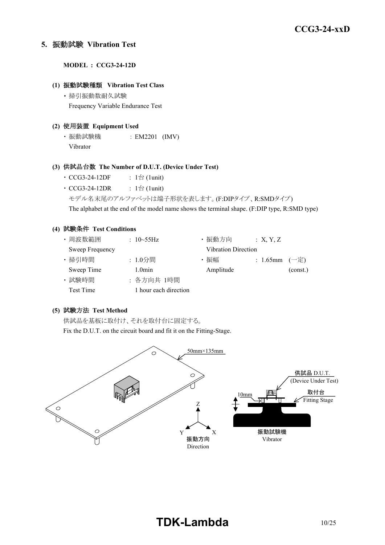#### **5.** 振動試験 **Vibration Test**

**MODEL : CCG3-24-12D**

#### **(1)** 振動試験種類 **Vibration Test Class**

・ 掃引振動数耐久試験 Frequency Variable Endurance Test

#### **(2)** 使用装置 **Equipment Used**

・ 振動試験機 : EM2201 (IMV) Vibrator

#### **(3)** 供試品台数 **The Number of D.U.T. (Device Under Test)**

- CCG3-24-12DF :  $1 \oplus (1$ unit)
- $CCG3-24-12DR$  :  $1 \triangleq$  (1unit)
	- モデル名末尾のアルファベットは端子形状を表します。(F:DIPタイプ、R:SMDタイプ)

The alphabet at the end of the model name shows the terminal shape. (F:DIP type, R:SMD type)

#### **(4)** 試験条件 **Test Conditions**

| ・周波数範囲           | : $10 - 55$ Hz        | ・振動方向                      | : X, Y, Z         |          |
|------------------|-----------------------|----------------------------|-------------------|----------|
| Sweep Frequency  |                       | <b>Vibration Direction</b> |                   |          |
| · 掃引時間           | : 1.0分間               | ・振幅                        | : 1.65mm $(-\pm)$ |          |
| Sweep Time       | 1.0 <sub>min</sub>    | Amplitude                  |                   | (const.) |
| · 試験時間           | : 各方向共 1時間            |                            |                   |          |
| <b>Test Time</b> | 1 hour each direction |                            |                   |          |

# **(5)** 試験方法 **Test Method**

供試品を基板に取付け、それを取付台に固定する。

Fix the D.U.T. on the circuit board and fit it on the Fitting-Stage.

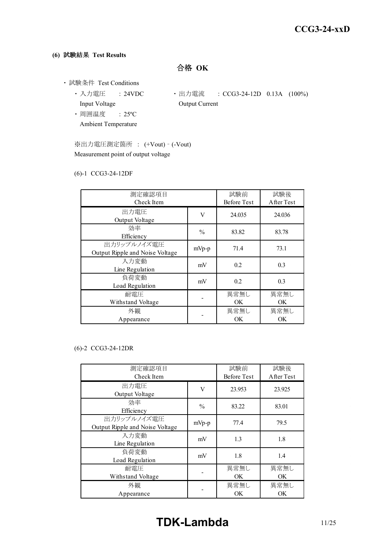## **(6)** 試験結果 **Test Results**

合格 **OK**

- ・ 試験条件 Test Conditions
	- 入力電圧 : 24VDC 出力電流 : CCG3-24-12D 0.13A (100%) Input Voltage **Output Current** 
		-
	- ・ 周囲温度 : 25ºC Ambient Temperature

※出力電圧測定箇所 : (+Vout) – (-Vout) Measurement point of output voltage

#### (6)-1 CCG3-24-12DF

| 測定確認項目                          |               | 試験前                | 試験後        |
|---------------------------------|---------------|--------------------|------------|
| Check Item                      |               | <b>Before Test</b> | After Test |
| 出力電圧                            | V             | 24.035             | 24.036     |
| Output Voltage                  |               |                    |            |
| 効率                              | $\frac{0}{0}$ | 83.82              | 83.78      |
| Efficiency                      |               |                    |            |
| 出力リップルノイズ電圧                     | $mVp-p$       | 71.4               | 73.1       |
| Output Ripple and Noise Voltage |               |                    |            |
| 入力変動                            | mV            | 0.2                | 0.3        |
| Line Regulation                 |               |                    |            |
| 負荷変動                            | mV            | 0.2                | 0.3        |
| Load Regulation                 |               |                    |            |
| 耐電圧                             |               | 異常無し               | 異常無し       |
| Withstand Voltage               |               | <b>OK</b>          | OK         |
| 外観                              |               | 異常無し               | 異常無し       |
| Appearance                      |               | OK                 | OK         |

#### (6)-2 CCG3-24-12DR

| 測定確認項目<br>Check Item                           |               | 試験前<br><b>Before Test</b> | 試験後<br>After Test |
|------------------------------------------------|---------------|---------------------------|-------------------|
| 出力電圧<br>Output Voltage                         | V             | 23.953                    | 23.925            |
| 効率<br>Efficiency                               | $\frac{0}{0}$ | 83.22                     | 83.01             |
| 出力リップルノイズ電圧<br>Output Ripple and Noise Voltage | $mVp-p$       | 77.4                      | 79.5              |
| 入力変動<br>Line Regulation                        | mV            | 1.3                       | 1.8               |
| 負荷変動<br>Load Regulation                        | mV            | 1.8                       | 1.4               |
| 耐電圧<br>Withstand Voltage                       |               | 異常無し<br>OK.               | 異常無し<br>OK.       |
| 外観<br>Appearance                               |               | 異常無し<br><b>OK</b>         | 異常無し<br><b>OK</b> |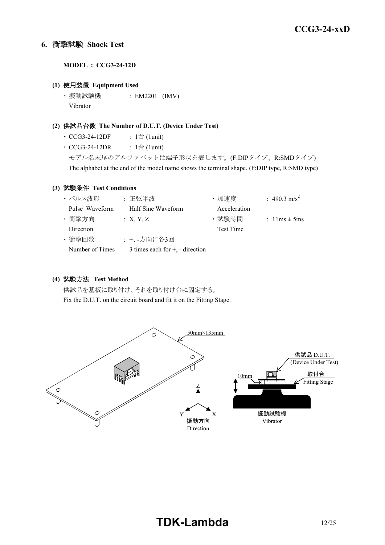## **6.** 衝撃試験 **Shock Test**

**MODEL : CCG3-24-12D**

#### **(1)** 使用装置 **Equipment Used**

・ 振動試験機 : EM2201 (IMV) Vibrator

#### **(2)** 供試品台数 **The Number of D.U.T. (Device Under Test)**

- CCG3-24-12DF :  $1 \oplus (1$ unit)
- CCG3-24-12DR :  $1 \oplus (1$ unit)

モデル名末尾のアルファベットは端子形状を表します。(F:DIPタイプ、R:SMDタイプ) The alphabet at the end of the model name shows the terminal shape. (F:DIP type, R:SMD type)

#### **(3)** 試験条件 **Test Conditions**

| ・パルス波形          | : 正弦半波                               | ·加速度         | : 490.3 m/s <sup>2</sup>         |
|-----------------|--------------------------------------|--------------|----------------------------------|
| Pulse Waveform  | Half Sine Waveform                   | Acceleration |                                  |
| ・衝撃方向           | : X, Y, Z                            | ・試験時間        | : $1 \text{lms} \pm 5 \text{ms}$ |
| Direction       |                                      | Test Time    |                                  |
| ・衝撃回数           | : +、-方向に各3回                          |              |                                  |
| Number of Times | 3 times each for $+$ , $-$ direction |              |                                  |

#### **(4)** 試験方法 **Test Method**

供試品を基板に取り付け、それを取り付け台に固定する。 Fix the D.U.T. on the circuit board and fit it on the Fitting Stage.

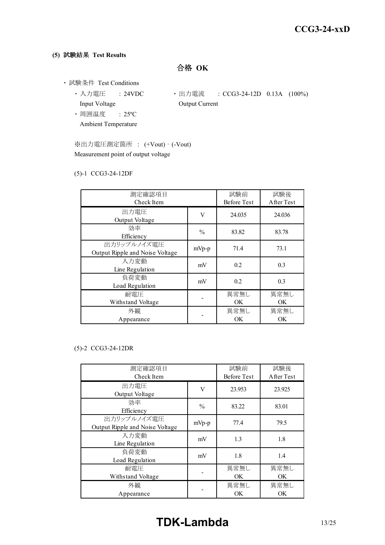## **(5)** 試験結果 **Test Results**

合格 **OK**

- ・ 試験条件 Test Conditions
	- Input Voltage **Output Current**
	- 入力電圧 : 24VDC 出力電流 : CCG3-24-12D 0.13A (100%)
	- ・ 周囲温度 : 25ºC Ambient Temperature

※出力電圧測定箇所 : (+Vout) – (-Vout) Measurement point of output voltage

#### (5)-1 CCG3-24-12DF

| 測定確認項目<br>Check Item                           |               | 試験前<br><b>Before Test</b> | 試験後<br>After Test |
|------------------------------------------------|---------------|---------------------------|-------------------|
| 出力電圧<br>Output Voltage                         | V             | 24.035                    | 24.036            |
| 効率<br>Efficiency                               | $\frac{0}{0}$ | 83.82                     | 83.78             |
| 出力リップルノイズ電圧<br>Output Ripple and Noise Voltage | $mVp-p$       | 71.4                      | 73.1              |
| 入力変動<br>Line Regulation                        | mV            | 0.2                       | 0.3               |
| 負荷変動<br>Load Regulation                        | mV            | 0.2                       | 0.3               |
| 耐雷圧<br>Withstand Voltage                       |               | 異常無し<br>OK.               | 異常無し<br><b>OK</b> |
| 外観<br>Appearance                               |               | 異常無し<br>OK                | 異常無し<br>OK        |

#### (5)-2 CCG3-24-12DR

| 測定確認項目<br>Check Item                           |               | 試験前<br><b>Before Test</b> | 試験後<br>After Test |
|------------------------------------------------|---------------|---------------------------|-------------------|
| 出力電圧<br>Output Voltage                         | V             | 23.953                    | 23.925            |
| 効率<br>Efficiency                               | $\frac{0}{0}$ | 83.22                     | 83.01             |
| 出力リップルノイズ電圧<br>Output Ripple and Noise Voltage | $mVp-p$       | 77.4                      | 79.5              |
| 入力変動<br>Line Regulation                        | mV            | 1.3                       | 1.8               |
| 負荷変動<br>Load Regulation                        | mV            | 1.8                       | 1.4               |
| 耐電圧<br>Withstand Voltage                       |               | 異常無し<br>OK.               | 異常無し<br>OK.       |
| 外観<br>Appearance                               |               | 異常無し<br>OK                | 異常無し<br>OK        |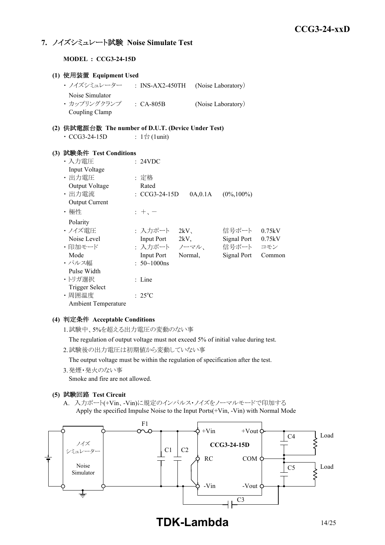# **7.** ノイズシミュレート試験 **Noise Simulate Test**

**MODEL : CCG3-24-15D**

| (1) 使用装置 Equipment Used                             |                              |          |                         |        |
|-----------------------------------------------------|------------------------------|----------|-------------------------|--------|
| ・ ノイズシミュレーター ___ : INS-AX2-450TH                    |                              |          | (Noise Laboratory)      |        |
| Noise Simulator                                     |                              |          |                         |        |
| · カップリングクランプ : CA-805B                              |                              |          | (Noise Laboratory)      |        |
| Coupling Clamp                                      |                              |          |                         |        |
| (2) 供試電源台数 The number of D.U.T. (Device Under Test) |                              |          |                         |        |
| $\cdot$ CCG3-24-15D                                 | : $1 \oplus (1 \text{unit})$ |          |                         |        |
|                                                     |                              |          |                         |        |
| (3) 試験条件 Test Conditions                            |                              |          |                         |        |
| ・入力電圧                                               | : 24VDC                      |          |                         |        |
| Input Voltage                                       |                              |          |                         |        |
| ・出力電圧                                               | : 定格                         |          |                         |        |
| Output Voltage                                      | Rated                        |          |                         |        |
| ・出力電流                                               | $\cdot$ CCG3-24-15D          | 0A, 0.1A | $(0\%, 100\%)$          |        |
| <b>Output Current</b>                               |                              |          |                         |        |
| ・極性                                                 | $+$ , $-$                    |          |                         |        |
| Polarity                                            |                              |          |                         |        |
| ・ノイズ雷圧                                              |                              |          | : 入力ポート 2kV、 信号ポート      | 0.75kV |
| Noise Level                                         | Input Port 2kV,              |          | Signal Port 0.75kV      |        |
| ・印加モード                                              |                              |          | : 入力ポート ノーマル、 信号ポート コモン |        |
| Mode                                                | Input Port Normal,           |          | Signal Port Common      |        |
| ・パルス幅                                               | : $50 \sim 1000$ ns          |          |                         |        |
| Pulse Width                                         |                              |          |                         |        |
| ・トリガ選択                                              | : Line                       |          |                         |        |
| <b>Trigger Select</b>                               |                              |          |                         |        |
| ·周囲温度                                               | $: 25^{\circ}C$              |          |                         |        |
| <b>Ambient Temperature</b>                          |                              |          |                         |        |

#### **(4)** 判定条件 **Acceptable Conditions**

1.試験中、5%を超える出力電圧の変動のない事

The regulation of output voltage must not exceed 5% of initial value during test.

2.試験後の出力電圧は初期値から変動していない事

The output voltage must be within the regulation of specification after the test.

3.発煙・発火のない事

Smoke and fire are not allowed.

#### **(5)** 試験回路 **Test Circuit**

A. 入力ポート(+Vin、-Vin)に規定のインパルス・ノイズをノーマルモードで印加する Apply the specified Impulse Noise to the Input Ports(+Vin, -Vin) with Normal Mode



**TDK-Lambda** 14/25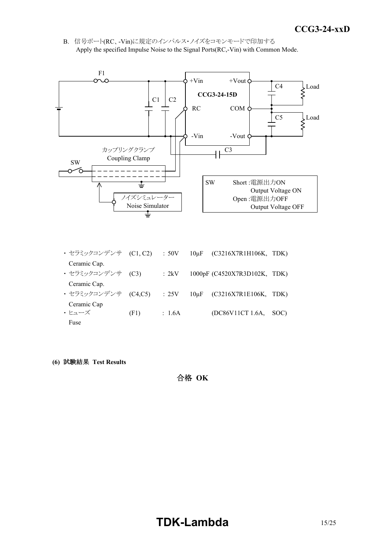*INSTRUCTION MANUAL* B. 信号ポート(RC、-Vin)に規定のインパルス・ノイズをコモンモードで印加する Apply the specified Impulse Noise to the Signal Ports(RC,-Vin) with Common Mode.



- ・ セラミックコンデンサ (C1, C2) : 50V 10μF (C3216X7R1H106K, TDK) Ceramic Cap. ・ セラミックコンデンサ (C3) : 2kV 1000pF (C4520X7R3D102K, TDK) Ceramic Cap. ・ セラミックコンデンサ (C4,C5) : 25V 10μF (C3216X7R1E106K, TDK) Ceramic Cap  $\cdot$   $\zeta = \frac{1}{2}$  (F1) : 1.6A (DC86V11CT 1.6A, SOC) Fuse
- **(6)** 試験結果 **Test Results**

合格 **OK**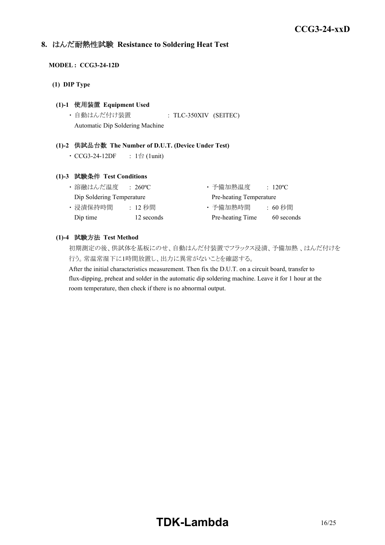# **8.** はんだ耐熱性試験 **Resistance to Soldering Heat Test**

#### **MODEL : CCG3-24-12D**

**(1) DIP Type**

#### **(1)-1** 使用装置 **Equipment Used**

・ 自動はんだ付け装置 : TLC-350XIV (SEITEC) Automatic Dip Soldering Machine

#### **(1)-2** 供試品台数 **The Number of D.U.T. (Device Under Test)**

•  $CCG3-24-12DF$  :  $1$ 台 $(1$ unit)

#### **(1)-3** 試験条件 **Test Conditions**

| ・溶融はんだ温度                  | $\div 260^{\circ}$ C | ・予備加熱温度                 | $\therefore$ 120 <sup>o</sup> C |
|---------------------------|----------------------|-------------------------|---------------------------------|
| Dip Soldering Temperature |                      | Pre-heating Temperature |                                 |
| ・浸漬保持時間                   | : 12 秒間              | ・予備加熱時間                 | : 60 秒間                         |
| Dip time                  | 12 seconds           | Pre-heating Time        | 60 seconds                      |

#### **(1)-4** 試験方法 **Test Method**

初期測定の後、供試体を基板にのせ、自動はんだ付装置でフラックス浸漬、予備加熱 、はんだ付けを 行う。常温常湿下に1時間放置し、出力に異常がないことを確認する。

After the initial characteristics measurement. Then fix the D.U.T. on a circuit board, transfer to flux-dipping, preheat and solder in the automatic dip soldering machine. Leave it for 1 hour at the room temperature, then check if there is no abnormal output.

# **TDK-Lambda**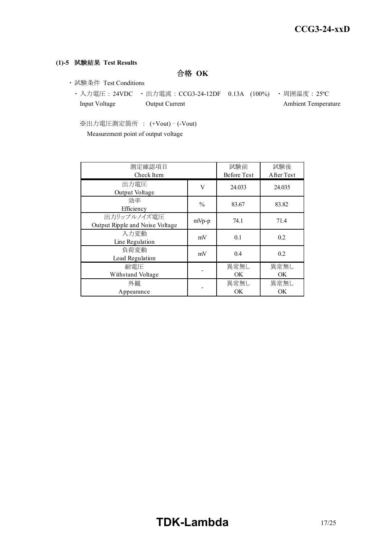## **(1)-5** 試験結果 **Test Results**

合格 **OK**

- ・ 試験条件 Test Conditions
	- 入力電圧 : 24VDC 出力電流 : CCG3-24-12DF 0.13A (100%) 周囲温度 : 25℃ Input Voltage Output Current Ambient Temperature

※出力電圧測定箇所 : (+Vout) – (-Vout) Measurement point of output voltage

| 測定確認項目<br>Check Item                           |               | 試験前<br><b>Before Test</b> | 試験後<br>After Test |
|------------------------------------------------|---------------|---------------------------|-------------------|
| 出力電圧<br>Output Voltage                         | V             | 24.033                    | 24.035            |
| 効率<br>Efficiency                               | $\frac{0}{0}$ | 83.67                     | 83.82             |
| 出力リップルノイズ電圧<br>Output Ripple and Noise Voltage | $mVp-p$       | 74.1                      | 71.4              |
| 入力変動<br>Line Regulation                        | mV            | 0.1                       | 0.2               |
| 負荷変動<br>Load Regulation                        | mV            | 0.4                       | 0.2               |
| 耐雷圧<br>Withstand Voltage                       |               | 異常無し<br>OK.               | 異常無し<br>OK.       |
| 外観<br>Appearance                               |               | 異常無し<br>OK.               | 異常無し<br>OK.       |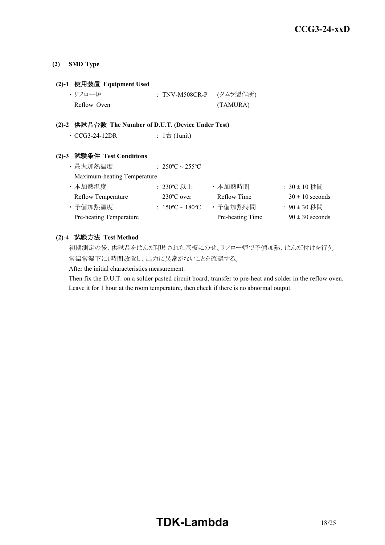#### **(2) SMD Type**

#### **(2)-1** 使用装置 **Equipment Used**

| ・リフロー炉      | : TNV-M508CR-P (タムラ製作所) |          |
|-------------|-------------------------|----------|
| Reflow Oven |                         | (TAMURA) |

#### **(2)-2** 供試品台数 **The Number of D.U.T. (Device Under Test)**

| $\cdot$ CCG3-24-12DR | : 1台 (1unit) |
|----------------------|--------------|
|----------------------|--------------|

## **(2)-3** 試験条件 **Test Conditions**

| ・最大加熱温度                     | : $250^{\circ}$ C ~ $255^{\circ}$ C |                  |                     |
|-----------------------------|-------------------------------------|------------------|---------------------|
| Maximum-heating Temperature |                                     |                  |                     |
| ・本加熱温度                      | :230°C 以上                           | ・本加熱時間           | : $30 \pm 10$ 秒間    |
| <b>Reflow Temperature</b>   | $230^{\circ}$ C over                | Reflow Time      | $30 \pm 10$ seconds |
| ・予備加熱温度                     | : $150^{\circ}$ C ~ $180^{\circ}$ C | ・予備加熱時間          | : 90±30 秒間          |
| Pre-heating Temperature     |                                     | Pre-heating Time | $90 \pm 30$ seconds |

## **(2)-4** 試験方法 **Test Method**

初期測定の後、供試品をはんだ印刷された基板にのせ、リフロー炉で予備加熱、はんだ付けを行う。 常温常湿下に1時間放置し、出力に異常がないことを確認する。

After the initial characteristics measurement.

Then fix the D.U.T. on a solder pasted circuit board, transfer to pre-heat and solder in the reflow oven. Leave it for 1 hour at the room temperature, then check if there is no abnormal output.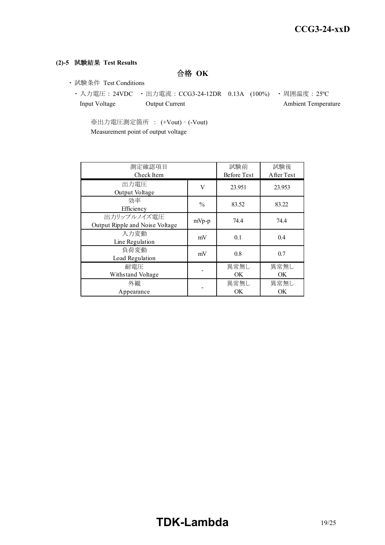## **(2)-5** 試験結果 **Test Results**

合格 **OK**

- ・ 試験条件 Test Conditions
	- ・ 入力電圧 : 24VDC ・ 出力電流 : CCG3-24-12DR 0.13A (100%) ・ 周囲温度 : 25ºC Input Voltage Output Current Ambient Temperature

※出力電圧測定箇所 : (+Vout) – (-Vout) Measurement point of output voltage

| 測定確認項目<br>Check Item                           |               | 試験前<br><b>Before Test</b> | 試験後<br>After Test |
|------------------------------------------------|---------------|---------------------------|-------------------|
| 出力電圧<br>Output Voltage                         | V             | 23.951                    | 23.953            |
| 効率<br>Efficiency                               | $\frac{0}{0}$ | 83.52                     | 83.22             |
| 出力リップルノイズ電圧<br>Output Ripple and Noise Voltage | $mVp-p$       | 74.4                      | 74.4              |
| 入力変動<br>Line Regulation                        | mV            | 0.1                       | 0.4               |
| 負荷変動<br>Load Regulation                        | mV            | 0.8                       | 0.7               |
| 耐電圧<br>Withstand Voltage                       |               | 異常無し<br>OK                | 異常無し<br>OK.       |
| 外観<br>Appearance                               |               | 異常無し<br>OK                | 異常無し<br><b>OK</b> |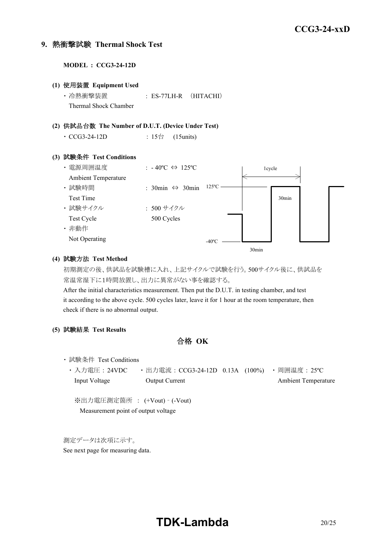#### **9.** 熱衝撃試験 **Thermal Shock Test**

**MODEL : CCG3-24-12D (1)** 使用装置 **Equipment Used** ・ 冷熱衝撃装置 : ES-77LH-R (HITACHI) Thermal Shock Chamber **(2)** 供試品台数 **The Number of D.U.T. (Device Under Test)** • CCG3-24-12D : 15台 (15units) **(3)** 試験条件 **Test Conditions** ・ 電源周囲温度 : - 40ºC ⇔ 125ºC Ambient Temperature ・ 試験時間 : 30min ⇔ 30min Test Time ・ 試験サイクル : 500 サイクル Test Cycle 500 Cycles ・ 非動作 Not Operating 1cycle 30min  $-40^{\circ}$ C  $-$ 125ºC

#### **(4)** 試験方法 **Test Method**

初期測定の後、供試品を試験槽に入れ、上記サイクルで試験を行う。500サイクル後に、供試品を 常温常湿下に1時間放置し、出力に異常がない事を確認する。

30min

After the initial characteristics measurement. Then put the D.U.T. in testing chamber, and test it according to the above cycle. 500 cycles later, leave it for 1 hour at the room temperature, then check if there is no abnormal output.

**(5)** 試験結果 **Test Results**

合格 **OK**

- ・ 試験条件 Test Conditions
	- ・ 入力電圧 : 24VDC ・ 出力電流 : CCG3-24-12D 0.13A (100%) ・ 周囲温度 : 25ºC Input Voltage Output Current Ambient Temperature

※出力電圧測定箇所 : (+Vout) – (-Vout) Measurement point of output voltage

測定データは次項に示す。

See next page for measuring data.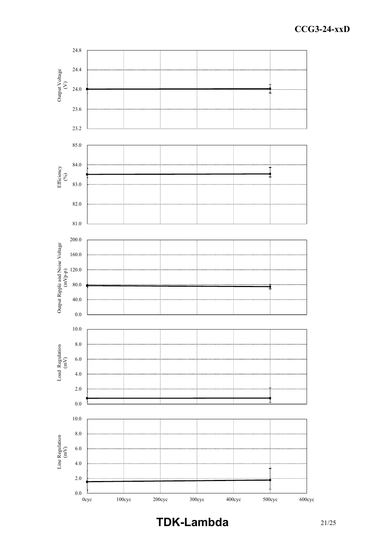

**TDK-Lambda** 21/25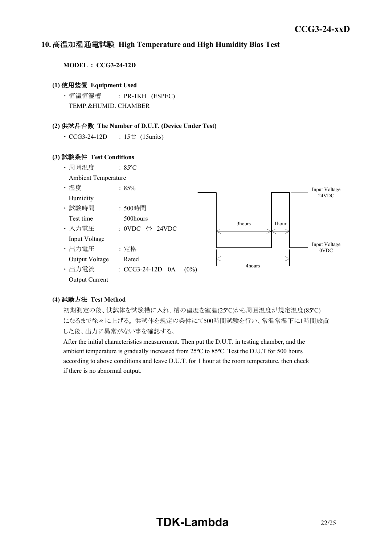#### *INSTRUCTION MANUAL* **10.** 高温加湿通電試験 **High Temperature and High Humidity Bias Test**

**MODEL : CCG3-24-12D**

#### **(1)** 使用装置 **Equipment Used**

・ 恒温恒湿槽 : PR-1KH (ESPEC) TEMP.&HUMID. CHAMBER

#### **(2)** 供試品台数 **The Number of D.U.T. (Device Under Test)**

• CCG3-24-12D : 15台 (15units)

#### **(3)** 試験条件 **Test Conditions**



#### **(4)** 試験方法 **Test Method**

初期測定の後、供試体を試験槽に入れ、槽の温度を室温(25ºC)から周囲温度が規定温度(85ºC) になるまで徐々に上げる。 供試体を規定の条件にて500時間試験を行い、常温常湿下に1時間放置 した後、出力に異常がない事を確認する。

After the initial characteristics measurement. Then put the D.U.T. in testing chamber, and the ambient temperature is gradually increased from 25ºC to 85ºC. Test the D.U.T for 500 hours according to above conditions and leave D.U.T. for 1 hour at the room temperature, then check if there is no abnormal output.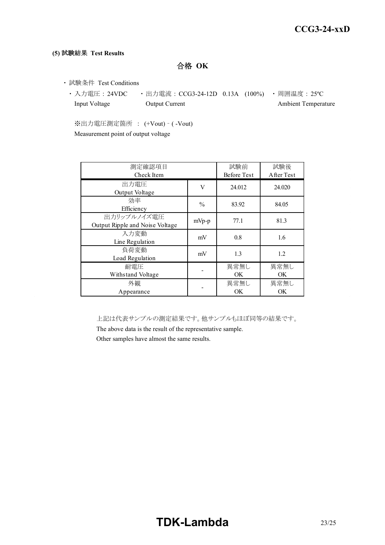#### **(5)** 試験結果 **Test Results**

合格 **OK**

- ・ 試験条件 Test Conditions
	- 入力電圧 : 24VDC 出力電流 : CCG3-24-12D 0.13A (100%) 周囲温度 : 25℃ Input Voltage **Output Current** Current Ambient Temperature

※出力電圧測定箇所 : (+Vout) – ( -Vout) Measurement point of output voltage

| 測定確認項目<br>Check Item                           |               | 試験前<br>Before Test | 試験後<br>A fter Test |
|------------------------------------------------|---------------|--------------------|--------------------|
| 出力電圧<br>Output Voltage                         | V             | 24.012             | 24.020             |
| 効率<br>Efficiency                               | $\frac{0}{0}$ | 83.92              | 84.05              |
| 出力リップルノイズ電圧<br>Output Ripple and Noise Voltage | $mVp-p$       | 77.1               | 81.3               |
| 入力変動<br>Line Regulation                        | mV            | 0.8                | 1.6                |
| 負荷変動<br>Load Regulation                        | mV            | 1.3                | 1.2                |
| 耐雷圧<br>Withstand Voltage                       |               | 異常無し<br>OK.        | 異常無し<br>OK.        |
| 外観<br>Appearance                               |               | 異常無し<br>OK         | 異常無し<br>OK.        |

上記は代表サンプルの測定結果です。他サンプルもほぼ同等の結果です。

The above data is the result of the representative sample.

Other samples have almost the same results.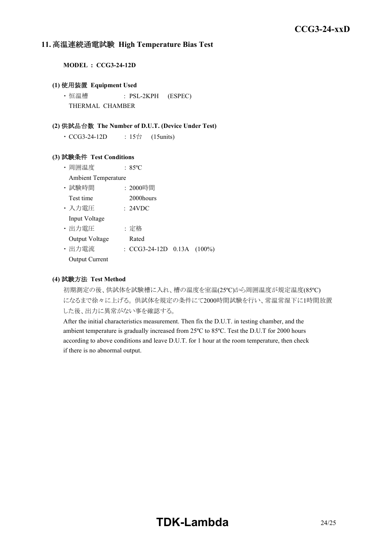## **11.** 高温連続通電試験 **High Temperature Bias Test**

**MODEL : CCG3-24-12D**

#### **(1)** 使用装置 **Equipment Used**

・ 恒温槽 : PSL-2KPH (ESPEC) THERMAL CHAMBER

#### **(2)** 供試品台数 **The Number of D.U.T. (Device Under Test)**

• CCG3-24-12D : 15台 (15units)

#### **(3)** 試験条件 **Test Conditions**

- ・ 周囲温度 : 85ºC
- Ambient Temperature
- ・ 試験時間 : 2000時間
- Test time 2000 hours
- ・ 入力電圧 : 24VDC Input Voltage

・ 出力電圧 : 定格

- Output Voltage Rated
- ・ 出力電流 : CCG3-24-12D 0.13A (100%)
- Output Current

#### **(4)** 試験方法 **Test Method**

初期測定の後、供試体を試験槽に入れ、槽の温度を室温(25ºC)から周囲温度が規定温度(85ºC) になるまで徐々に上げる。 供試体を規定の条件にて2000時間試験を行い、常温常湿下に1時間放置 した後、出力に異常がない事を確認する。

After the initial characteristics measurement. Then fix the D.U.T. in testing chamber, and the ambient temperature is gradually increased from 25ºC to 85ºC. Test the D.U.T for 2000 hours according to above conditions and leave D.U.T. for 1 hour at the room temperature, then check if there is no abnormal output.